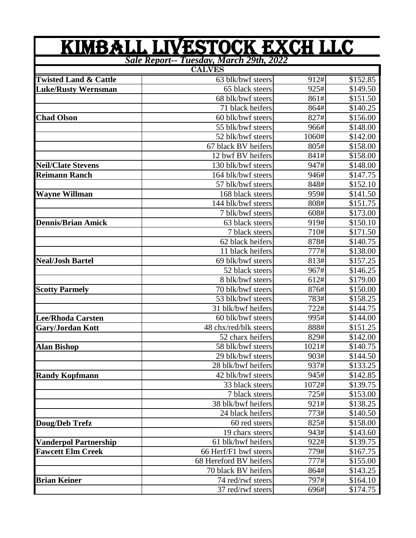|                                  | KIMBALL LIVESTOCK EXCH LLC              |       |          |
|----------------------------------|-----------------------------------------|-------|----------|
|                                  | Sale Report-- Tuesday, March 29th, 2022 |       |          |
|                                  | <b>CALVES</b>                           |       |          |
| <b>Twisted Land &amp; Cattle</b> | 63 blk/bwf steers                       | 912#  | \$152.85 |
| <b>Luke/Rusty Wernsman</b>       | 65 black steers                         | 925#  | \$149.50 |
|                                  | 68 blk/bwf steers                       | 861#  | \$151.50 |
|                                  | 71 black heifers                        | 864#  | \$140.25 |
| <b>Chad Olson</b>                | 60 blk/bwf steers                       | 827#  | \$156.00 |
|                                  | 55 blk/bwf steers                       | 966#  | \$148.00 |
|                                  | 52 blk/bwf steers                       | 1060# | \$142.00 |
|                                  | 67 black BV heifers                     | 805#  | \$158.00 |
|                                  | 12 bwf BV heifers                       | 841#  | \$158.00 |
| <b>Neil/Clate Stevens</b>        | 130 blk/bwf steers                      | 947#  | \$148.00 |
| <b>Reimann Ranch</b>             | 164 blk/bwf steers                      | 946#  | \$147.75 |
|                                  | 57 blk/bwf steers                       | 848#  | \$152.10 |
| <b>Wayne Willman</b>             | 168 black steers                        | 959#  | \$141.50 |
|                                  | 144 blk/bwf steers                      | 808#  | \$151.75 |
|                                  | 7 blk/bwf steers                        | 608#  | \$173.00 |
| <b>Dennis/Brian Amick</b>        | 63 black steers                         | 919#  | \$150.10 |
|                                  | 7 black steers                          | 710#  | \$171.50 |
|                                  | 62 black heifers                        | 878#  | \$140.75 |
|                                  | 11 black heifers                        | 777#  | \$138.00 |
| <b>Neal/Josh Bartel</b>          | 69 blk/bwf steers                       | 813#  | \$157.25 |
|                                  | 52 black steers                         | 967#  | \$146.25 |
|                                  | 8 blk/bwf steers                        | 612#  | \$179.00 |
| <b>Scotty Parmely</b>            | 70 blk/bwf steers                       | 876#  | \$150.00 |
|                                  | 53 blk/bwf steers                       | 783#  | \$158.25 |
|                                  | 31 blk/bwf heifers                      | 722#  | \$144.75 |
| <b>Lee/Rhoda Carsten</b>         | 60 blk/bwf steers                       | 995#  | \$144.00 |
| Gary/Jordan Kott                 | 48 chx/red/blk steers                   | 888#  | \$151.25 |
|                                  | 52 charx heifers                        | 829#  | \$142.00 |
| <b>Alan Bishop</b>               | 58 blk/bwf steers                       | 1021# | \$140.75 |
|                                  | 29 blk/bwf steers                       | 903#  | \$144.50 |
|                                  | 28 blk/bwf heifers                      | 937#  | \$133.25 |
| <b>Randy Kopfmann</b>            | 42 blk/bwf steers                       | 945#  | \$142.85 |
|                                  | 33 black steers                         | 1072# | \$139.75 |
|                                  | 7 black steers                          | 725#  | \$153.00 |
|                                  | 38 blk/bwf heifers                      | 921#  | \$138.25 |
|                                  | 24 black heifers                        | 773#  | \$140.50 |
| Doug/Deb Trefz                   | 60 red steers                           | 825#  | \$158.00 |
|                                  | 19 charx steers                         | 943#  | \$143.60 |
| <b>Vanderpol Partnership</b>     | 61 blk/bwf heifers                      | 922#  | \$139.75 |
| <b>Fawcett Elm Creek</b>         | 66 Herf/F1 bwf steers                   | 779#  | \$167.75 |
|                                  | 68 Hereford BV heifers                  | 777#  | \$155.00 |
|                                  | 70 black BV heifers                     | 864#  | \$143.25 |
| <b>Brian Keiner</b>              | 74 red/rwf steers                       | 797#  | \$164.10 |
|                                  | 37 red/rwf steers                       | 696#  | \$174.75 |
|                                  |                                         |       |          |